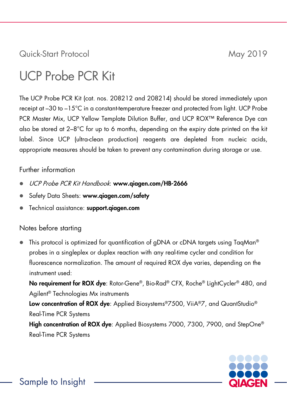Quick-Start Protocol May 2019

# UCP Probe PCR Kit

The UCP Probe PCR Kit (cat. nos. 208212 and 208214) should be stored immediately upon receipt at –30 to –15°C in a constant-temperature freezer and protected from light. UCP Probe PCR Master Mix, UCP Yellow Template Dilution Buffer, and UCP ROX<sup>™</sup> Reference Dye can also be stored at 2–8°C for up to 6 months, depending on the expiry date printed on the kit label. Since UCP (ultra-clean production) reagents are depleted from nucleic acids, appropriate measures should be taken to prevent any contamination during storage or use.

# Further information

- UCP Probe PCR Kit Handbook: www.qiagen.com/HB-2666
- Safety Data Sheets: www.aiaaen.com/safety
- Technical assistance: [support.qiagen.com](https://support.qiagen.com/)

# Notes before starting

 This protocol is optimized for quantification of gDNA or cDNA targets using TaqMan® probes in a singleplex or duplex reaction with any real-time cycler and condition for fluorescence normalization. The amount of required ROX dye varies, depending on the instrument used:

No requirement for ROX dye: Rotor-Gene®, Bio-Rad® CFX, Roche® LightCycler® 480, and Agilent® Technologies Mx instruments

Low concentration of ROX dye: Applied Biosystems®7500, ViiA®7, and QuantStudio® Real-Time PCR Systems

High concentration of ROX dye: Applied Biosystems 7000, 7300, 7900, and StepOne<sup>®</sup> Real-Time PCR Systems

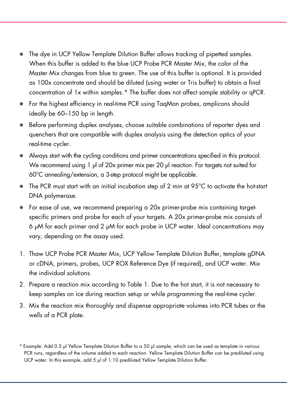- The dye in UCP Yellow Template Dilution Buffer allows tracking of pipetted samples. When this buffer is added to the blue UCP Probe PCR Master Mix, the color of the Master Mix changes from blue to green. The use of this buffer is optional. It is provided as 100x concentrate and should be diluted (using water or Tris buffer) to obtain a final concentration of 1x within samples.[\\*](#page-1-0) The buffer does not affect sample stability or qPCR.
- For the highest efficiency in real-time PCR using TaqMan probes, amplicons should ideally be 60–150 bp in length.
- Before performing duplex analyses, choose suitable combinations of reporter dyes and quenchers that are compatible with duplex analysis using the detection optics of your real-time cycler.
- Always start with the cycling conditions and primer concentrations specified in this protocol. We recommend using 1 µl of 20x primer mix per 20 µl reaction. For targets not suited for 60°C annealing/extension, a 3-step protocol might be applicable.
- $\bullet$  The PCR must start with an initial incubation step of 2 min at 95°C to activate the hot-start DNA polymerase.
- For ease of use, we recommend preparing a 20x primer-probe mix containing targetspecific primers and probe for each of your targets. A 20x primer-probe mix consists of 6 µM for each primer and 2 µM for each probe in UCP water. Ideal concentrations may vary, depending on the assay used.
- 1. Thaw UCP Probe PCR Master Mix, UCP Yellow Template Dilution Buffer, template gDNA or cDNA, primers, probes, UCP ROX Reference Dye (if required), and UCP water. Mix the individual solutions.
- 2. Prepare a reaction mix according to Table 1. Due to the hot start, it is not necessary to keep samples on ice during reaction setup or while programming the real-time cycler.
- 3. Mix the reaction mix thoroughly and dispense appropriate volumes into PCR tubes or the wells of a PCR plate.

<span id="page-1-0"></span><sup>\*</sup> Example: Add 0.5 μl Yellow Template Dilution Buffer to a 50 μl sample, which can be used as template in various PCR runs, regardless of the volume added to each reaction. Yellow Template Dilution Buffer can be prediluted using UCP water. In this example, add 5 μl of 1:10 prediluted Yellow Template Dilution Buffer.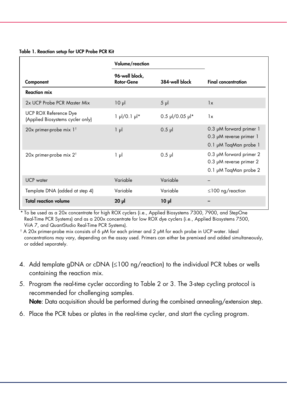### Table 1. Reaction setup for UCP Probe PCR Kit

|                                                           | Volume/reaction                     |                   |                                                                                  |  |
|-----------------------------------------------------------|-------------------------------------|-------------------|----------------------------------------------------------------------------------|--|
| Component                                                 | 96-well block,<br><b>Rotor-Gene</b> | 384-well block    | <b>Final concentration</b>                                                       |  |
| <b>Reaction mix</b>                                       |                                     |                   |                                                                                  |  |
| 2x UCP Probe PCR Master Mix                               | 10 <sub>µ</sub>                     | $5$ $\mu$         | 1x                                                                               |  |
| UCP ROX Reference Dye<br>(Applied Biosystems cycler only) | $1 \mu$ /0.1 $\mu$ <sup>*</sup>     | $0.5$ µl/0.05 µl* | 1x                                                                               |  |
| 20x primer-probe mix 1 <sup>t</sup>                       | 1 μl                                | $0.5$ pl          | 0.3 µM forward primer 1<br>0.3 µM reverse primer 1<br>0.1 µM TagMan probe 1      |  |
| $20x$ primer-probe mix $2†$                               | 1 μl                                | $0.5$ pl          | 0.3 $\mu$ M forward primer 2<br>0.3 µM reverse primer 2<br>0.1 µM TagMan probe 2 |  |
| <b>UCP</b> water                                          | Variable                            | Variable          |                                                                                  |  |
| Template DNA (added at step 4)                            | Variable                            | Variable          | $\leq$ 100 ng/reaction                                                           |  |
| <b>Total reaction volume</b>                              | $20 \mu$                            | $10 \mu$          |                                                                                  |  |

\* To be used as a 20x concentrate for high ROX cyclers (i.e., Applied Biosystems 7300, 7900, and StepOne Real-Time PCR Systems) and as a 200x concentrate for low ROX dye cyclers (i.e., Applied Biosystems 7500, ViiA 7, and QuantStudio Real-Time PCR Systems).

† A 20x primer-probe mix consists of 6 µM for each primer and 2 µM for each probe in UCP water. Ideal concentrations may vary, depending on the assay used. Primers can either be premixed and added simultaneously, or added separately.

- 4. Add template gDNA or cDNA (≤100 ng/reaction) to the individual PCR tubes or wells containing the reaction mix.
- 5. Program the real-time cycler according to Table 2 or 3. The 3-step cycling protocol is recommended for challenging samples.

Note: Data acquisition should be performed during the combined annealing/extension step.

6. Place the PCR tubes or plates in the real-time cycler, and start the cycling program.